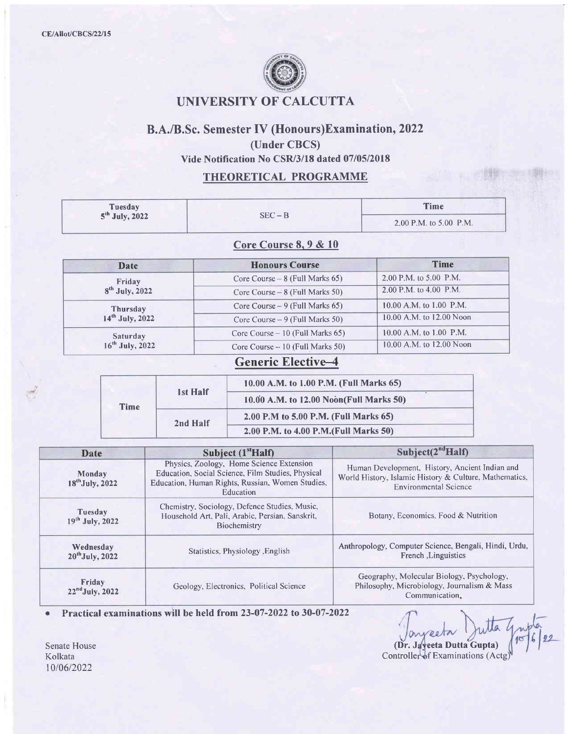

### UNIVERSITY OF CALCUTTA

### B.A./B.Sc. Semester IV (Honours)Examination, 2022

(Under CBCS)

Vide Notification No CSR/3/18 dated 07/05/2018

#### THEORETICAL PROGRAMME

| <b>Tuesday</b>                                                   | $SEC - B$                               |                                                                                                                    |                                                                              | <b>Time</b><br>2.00 P.M. to 5.00 P.M.                                                                                                    |  |
|------------------------------------------------------------------|-----------------------------------------|--------------------------------------------------------------------------------------------------------------------|------------------------------------------------------------------------------|------------------------------------------------------------------------------------------------------------------------------------------|--|
| 5 <sup>th</sup> July, 2022                                       |                                         |                                                                                                                    |                                                                              |                                                                                                                                          |  |
|                                                                  |                                         | Core Course 8, 9 & 10                                                                                              |                                                                              |                                                                                                                                          |  |
| Date                                                             |                                         | <b>Honours Course</b>                                                                                              |                                                                              | <b>Time</b>                                                                                                                              |  |
| Friday                                                           |                                         | Core Course $-8$ (Full Marks 65)                                                                                   |                                                                              | 2.00 P.M. to 5.00 P.M.                                                                                                                   |  |
| $8th$ July, 2022                                                 |                                         | Core Course - 8 (Full Marks 50)                                                                                    |                                                                              | 2.00 P.M. to 4.00 P.M.                                                                                                                   |  |
| <b>Thursday</b>                                                  |                                         | Core Course – 9 (Full Marks 65)                                                                                    |                                                                              | 10.00 A.M. to 1.00 P.M.                                                                                                                  |  |
| 14 <sup>th</sup> July, 2022                                      |                                         | Core Course $-9$ (Full Marks 50)                                                                                   |                                                                              | 10.00 A.M. to 12.00 Noon                                                                                                                 |  |
| Saturday                                                         |                                         | Core Course - 10 (Full Marks 65)                                                                                   |                                                                              | 10.00 A.M. to 1.00 P.M.                                                                                                                  |  |
| 16 <sup>th</sup> July, 2022                                      |                                         | Core Course - 10 (Full Marks 50)                                                                                   |                                                                              | 10.00 A.M. to 12.00 Noon                                                                                                                 |  |
|                                                                  |                                         | <b>Generic Elective-4</b>                                                                                          |                                                                              |                                                                                                                                          |  |
|                                                                  |                                         |                                                                                                                    |                                                                              |                                                                                                                                          |  |
|                                                                  | 1st Half                                | 10.00 A.M. to 1.00 P.M. (Full Marks 65)                                                                            |                                                                              |                                                                                                                                          |  |
| Time                                                             |                                         | 10.00 A.M. to 12.00 Noon(Full Marks 50)                                                                            |                                                                              |                                                                                                                                          |  |
|                                                                  |                                         | 2.00 P.M to 5.00 P.M. (Full Marks 65)                                                                              |                                                                              |                                                                                                                                          |  |
|                                                                  | 2nd Half                                | 2.00 P.M. to 4.00 P.M. (Full Marks 50)                                                                             |                                                                              |                                                                                                                                          |  |
|                                                                  |                                         |                                                                                                                    |                                                                              |                                                                                                                                          |  |
| <b>Date</b>                                                      |                                         | Subject (1 <sup>st</sup> Half)<br>Physics, Zoology, Home Science Extension                                         |                                                                              | Subject $(2ndHalf)$                                                                                                                      |  |
| Monday<br>18 <sup>th</sup> July, 2022                            |                                         | Education, Social Science, Film Studies, Physical<br>Education, Human Rights, Russian, Women Studies,<br>Education |                                                                              | Human Development, History, Ancient Indian and<br>World History, Islamic History & Culture, Mathematics,<br><b>Environmental Science</b> |  |
| Tuesday<br>19th July, 2022                                       |                                         | Chemistry, Sociology, Defence Studies, Music,<br>Household Art, Pali, Arabic, Persian, Sanskrit,<br>Biochemistry   | Botany, Economics, Food & Nutrition                                          |                                                                                                                                          |  |
| Wednesday<br>Statistics, Physiology , English<br>20th July, 2022 |                                         |                                                                                                                    | Anthropology, Computer Science, Bengali, Hindi, Urdu,<br>French, Linguistics |                                                                                                                                          |  |
| Friday<br>$22nd$ July, 2022                                      | Geology, Electronics, Political Science |                                                                                                                    |                                                                              | Geography, Molecular Biology, Psychology,<br>Philosophy, Microbiology, Journalism & Mass<br>Communication,                               |  |

o Practical examinations will be held from 23-07-2022 to 30-07-2022

(Dr. Jayeeta Dutta Gupta) Controller of Examinations (Actg)

Senate House Kolkata 1010612022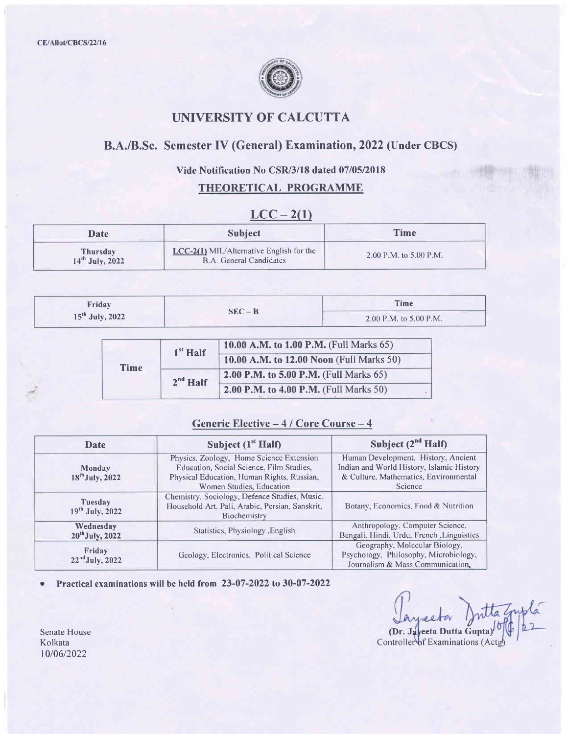

# UNIVERSITY OF CALCUTTA

# B.A./B.Sc. Semester IV (General) Examination,2022 (Under CBCS)

#### Vide Notification No CSR/3/18 dated 07/05/2018

### THEORETICAL PROGRAMME

### $LCC - 2(1)$

| <b>Date</b>                   | <b>Subject</b>                                                        | <b>Time</b>              |
|-------------------------------|-----------------------------------------------------------------------|--------------------------|
| Thursday<br>$14th$ July, 2022 | $LCC-2(1)$ MIL/Alternative English for the<br>B.A. General Candidates | 2.00 P.M. to $5.00$ P.M. |

| Friday            | Time<br>$SEC - B$ |                          |
|-------------------|-------------------|--------------------------|
| $15th$ July, 2022 |                   | 2.00 P.M. to $5.00$ P.M. |

|             | $1st$ Half | 10.00 A.M. to 1.00 P.M. (Full Marks 65)       |  |
|-------------|------------|-----------------------------------------------|--|
|             |            | 10.00 A.M. to 12.00 Noon (Full Marks 50)      |  |
| <b>Time</b> | $2nd$ Half | <b>2.00 P.M. to 5.00 P.M.</b> (Full Marks 65) |  |
|             |            | 2.00 P.M. to 4.00 P.M. (Full Marks 50)        |  |

### Generic Elective  $-4$  / Core Course  $-4$

| Date                                                                 | Subject $(1st Half)$                                                                                                                                           | Subject $(2^{nd}$ Half)                                                                                                              |
|----------------------------------------------------------------------|----------------------------------------------------------------------------------------------------------------------------------------------------------------|--------------------------------------------------------------------------------------------------------------------------------------|
| Monday<br>$18^{th}$ July, 2022                                       | Physics, Zoology, Home Science Extension<br>Education, Social Science, Film Studies,<br>Physical Education, Human Rights, Russian,<br>Women Studies, Education | Human Development, History, Ancient<br>Indian and World History, Islamic History<br>& Culture, Mathematics, Environmental<br>Science |
| Tuesday<br>$19^{th}$ July, 2022                                      | Chemistry, Sociology, Defence Studies, Music,<br>Household Art, Pali, Arabic, Persian, Sanskrit,<br>Biochemistry                                               | Botany, Economics, Food & Nutrition                                                                                                  |
| Wednesday<br>Statistics, Physiology, English<br>$20^{th}$ July, 2022 |                                                                                                                                                                | Anthropology, Computer Science,<br>Bengali, Hindi, Urdu, French, Linguistics                                                         |
| Friday<br>$22nd$ July, 2022                                          | Geology, Electronics, Political Science                                                                                                                        | Geography, Molecular Biology,<br>Psychology, Philosophy, Microbiology,<br>Journalism & Mass Communication.                           |

o Practical examinations will be held from 23-07-2022 to 30-07-2022

itta Znyla

(Dr. Javeeta Dutta Gupta) Controller of Examinations (Actg)

Senate House Kolkata 1010612022